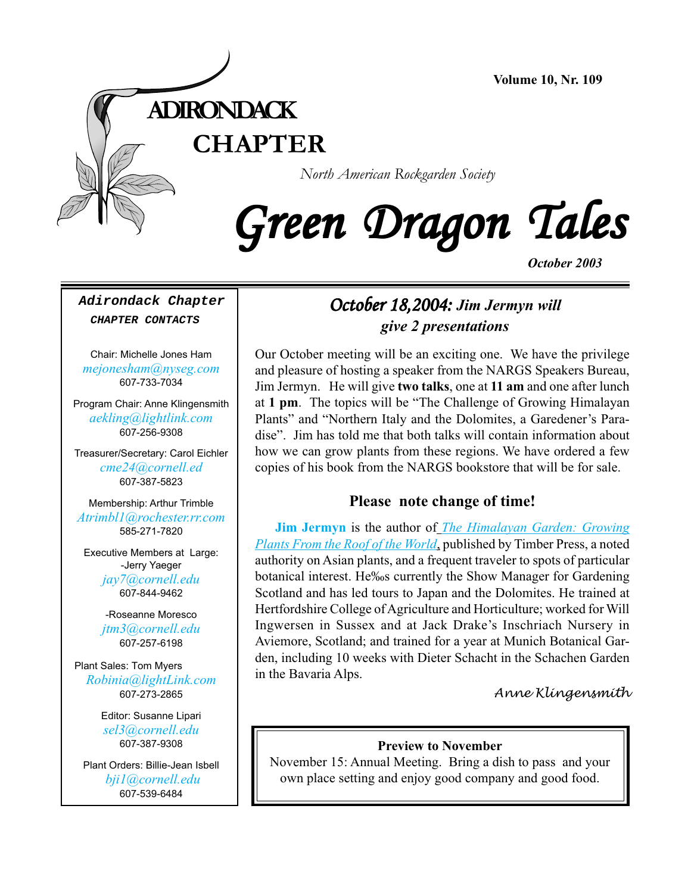

*North American Rockgarden Society*

# Green Dragon Tales

*October 2003*

**Adirondack Chapter CHAPTER CONTACTS**

Chair: Michelle Jones Ham *[mejonesham@nyseg.com](Mailto:mejonesham@nyseg.com)* 607-733-7034

Program Chair: Anne Klingensmith *[aekling@lightlink.com](mailto:aekling@lightlink.com)* 607-256-9308

Treasurer/Secretary: Carol Eichler *[cme24@cornell.ed](mailto:cme24@cornell.ed)* 607-387-5823

Membership: Arthur Trimble *[Atrimbl1@rochester.rr.com](mailto:Atrimbl1@rochester.rr.com)* 585-271-7820

Executive Members at Large: -Jerry Yaeger *[jay7@cornell.edu](mailto:jay7@cornell.edu)* 607-844-9462

> -Roseanne Moresco *[jtm3@cornell.edu](mailto:jtm3@cornell.edu)* 607-257-6198

Plant Sales: Tom Myers *[Robinia@lightLink.com](mailto:Robinia@lightLink.com)* 607-273-2865

> Editor: Susanne Lipari *[sel3@cornell.edu](mailto:sel3@cornell.edu)* 607-387-9308

Plant Orders: Billie-Jean Isbell  *[bji1@cornell.edu](mailto: bji1@cornell.edu|)* [607-539-6484](mailto: bji1@cornell.edu|)

### October 18,2004: October 18,2004: October 18,2004: *Jim Jermyn will give 2 presentations*

Our October meeting will be an exciting one. We have the privilege and pleasure of hosting a speaker from the NARGS Speakers Bureau, Jim Jermyn. He will give **two talks**, one at **11 am** and one after lunch at **1 pm**. The topics will be "The Challenge of Growing Himalayan Plants" and "Northern Italy and the Dolomites, a Garedener's Paradise". Jim has told me that both talks will contain information about how we can grow plants from these regions. We have ordered a few copies of his book from the NARGS bookstore that will be for sale.

#### **Please note change of time!**

**[Jim Jermyn](http://www.timberpress.com/about/authors.cfm?ID=979)** is the author of *[The Himalayan Garden: Growing](http://www.timberpress.com/books/index.cfm?do=details&ID=478) [Plants From the Roof of the World](http://www.timberpress.com/books/index.cfm?do=details&ID=478)*, published by Timber Press, a noted authority on Asian plants, and a frequent traveler to spots of particular botanical interest. He‰s currently the Show Manager for Gardening Scotland and has led tours to Japan and the Dolomites. He trained at Hertfordshire College of Agriculture and Horticulture; worked for Will Ingwersen in Sussex and at Jack Drake's Inschriach Nursery in Aviemore, Scotland; and trained for a year at Munich Botanical Garden, including 10 weeks with Dieter Schacht in the Schachen Garden in the Bavaria Alps.

*Anne Klingensmith*

#### **Preview to November**

November 15: Annual Meeting. Bring a dish to pass and your own place setting and enjoy good company and good food.